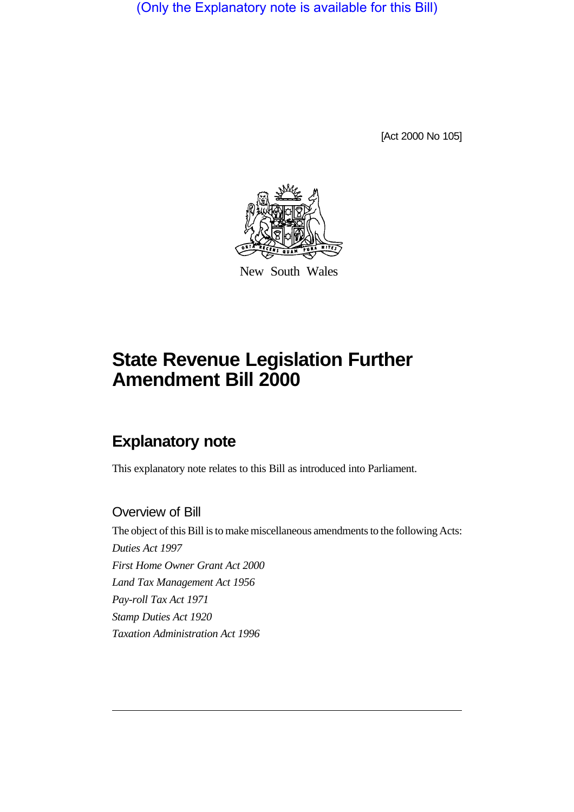(Only the Explanatory note is available for this Bill)

[Act 2000 No 105]



New South Wales

# **State Revenue Legislation Further Amendment Bill 2000**

# **Explanatory note**

This explanatory note relates to this Bill as introduced into Parliament.

# Overview of Bill

The object of this Bill is to make miscellaneous amendments to the following Acts: *Duties Act 1997 First Home Owner Grant Act 2000 Land Tax Management Act 1956 Pay-roll Tax Act 1971 Stamp Duties Act 1920 Taxation Administration Act 1996*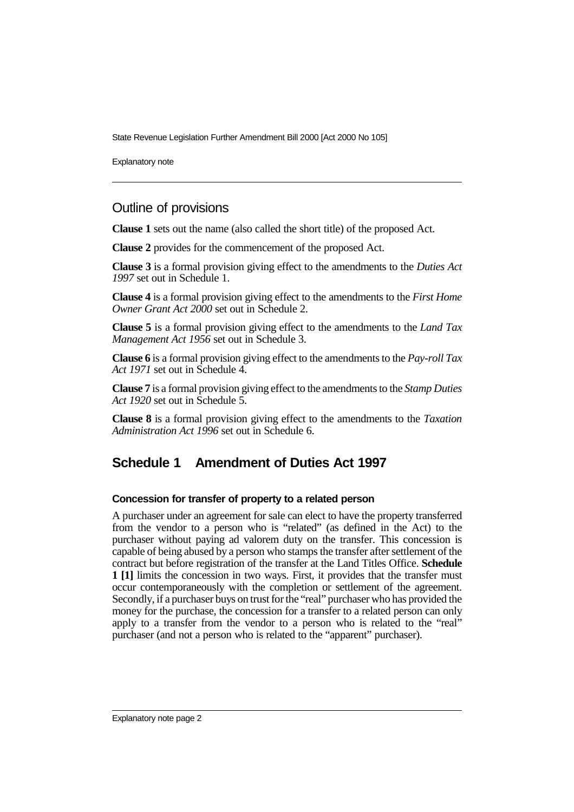Explanatory note

# Outline of provisions

**Clause 1** sets out the name (also called the short title) of the proposed Act.

**Clause 2** provides for the commencement of the proposed Act.

**Clause 3** is a formal provision giving effect to the amendments to the *Duties Act 1997* set out in Schedule 1.

**Clause 4** is a formal provision giving effect to the amendments to the *First Home Owner Grant Act 2000* set out in Schedule 2.

**Clause 5** is a formal provision giving effect to the amendments to the *Land Tax Management Act 1956* set out in Schedule 3.

**Clause 6** is a formal provision giving effect to the amendments to the *Pay-roll Tax Act 1971* set out in Schedule 4.

**Clause 7** is a formal provision giving effect to the amendments to the *Stamp Duties Act 1920* set out in Schedule 5.

**Clause 8** is a formal provision giving effect to the amendments to the *Taxation Administration Act 1996* set out in Schedule 6.

# **Schedule 1 Amendment of Duties Act 1997**

# **Concession for transfer of property to a related person**

A purchaser under an agreement for sale can elect to have the property transferred from the vendor to a person who is "related" (as defined in the Act) to the purchaser without paying ad valorem duty on the transfer. This concession is capable of being abused by a person who stamps the transfer after settlement of the contract but before registration of the transfer at the Land Titles Office. **Schedule 1 [1]** limits the concession in two ways. First, it provides that the transfer must occur contemporaneously with the completion or settlement of the agreement. Secondly, if a purchaser buys on trust for the "real" purchaser who has provided the money for the purchase, the concession for a transfer to a related person can only apply to a transfer from the vendor to a person who is related to the "real" purchaser (and not a person who is related to the "apparent" purchaser).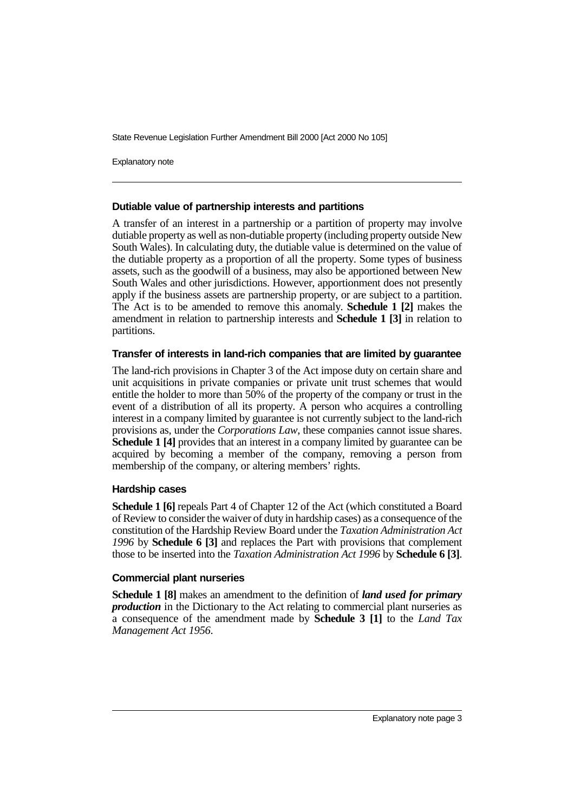Explanatory note

#### **Dutiable value of partnership interests and partitions**

A transfer of an interest in a partnership or a partition of property may involve dutiable property as well as non-dutiable property (including property outside New South Wales). In calculating duty, the dutiable value is determined on the value of the dutiable property as a proportion of all the property. Some types of business assets, such as the goodwill of a business, may also be apportioned between New South Wales and other jurisdictions. However, apportionment does not presently apply if the business assets are partnership property, or are subject to a partition. The Act is to be amended to remove this anomaly. **Schedule 1 [2]** makes the amendment in relation to partnership interests and **Schedule 1 [3]** in relation to partitions.

## **Transfer of interests in land-rich companies that are limited by guarantee**

The land-rich provisions in Chapter 3 of the Act impose duty on certain share and unit acquisitions in private companies or private unit trust schemes that would entitle the holder to more than 50% of the property of the company or trust in the event of a distribution of all its property. A person who acquires a controlling interest in a company limited by guarantee is not currently subject to the land-rich provisions as, under the *Corporations Law*, these companies cannot issue shares. **Schedule 1 [4]** provides that an interest in a company limited by guarantee can be acquired by becoming a member of the company, removing a person from membership of the company, or altering members' rights.

## **Hardship cases**

**Schedule 1 [6]** repeals Part 4 of Chapter 12 of the Act (which constituted a Board of Review to consider the waiver of duty in hardship cases) as a consequence of the constitution of the Hardship Review Board under the *Taxation Administration Act 1996* by **Schedule 6 [3]** and replaces the Part with provisions that complement those to be inserted into the *Taxation Administration Act 1996* by **Schedule 6 [3]**.

## **Commercial plant nurseries**

**Schedule 1 [8]** makes an amendment to the definition of *land used for primary production* in the Dictionary to the Act relating to commercial plant nurseries as a consequence of the amendment made by **Schedule 3 [1]** to the *Land Tax Management Act 1956*.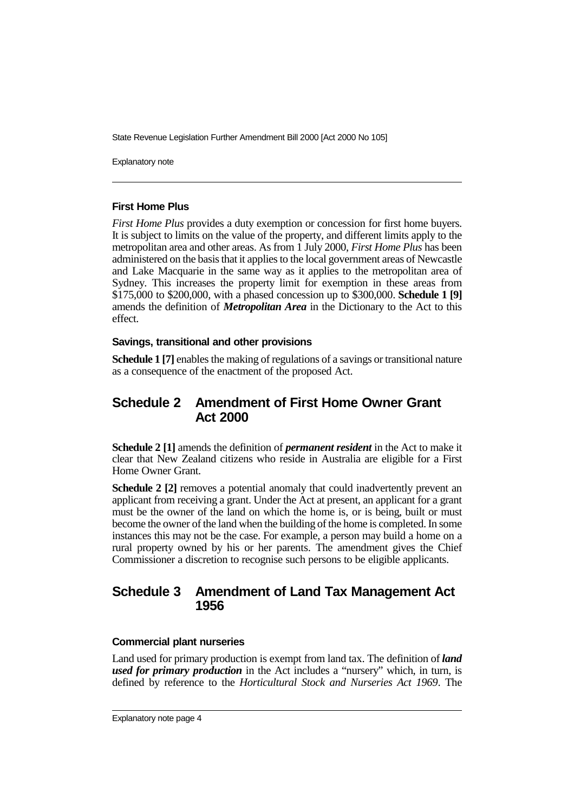Explanatory note

## **First Home Plus**

*First Home Plus* provides a duty exemption or concession for first home buyers. It is subject to limits on the value of the property, and different limits apply to the metropolitan area and other areas. As from 1 July 2000, *First Home Plus* has been administered on the basis that it applies to the local government areas of Newcastle and Lake Macquarie in the same way as it applies to the metropolitan area of Sydney. This increases the property limit for exemption in these areas from \$175,000 to \$200,000, with a phased concession up to \$300,000. **Schedule 1 [9]** amends the definition of *Metropolitan Area* in the Dictionary to the Act to this effect.

## **Savings, transitional and other provisions**

**Schedule 1 [7]** enables the making of regulations of a savings or transitional nature as a consequence of the enactment of the proposed Act.

# **Schedule 2 Amendment of First Home Owner Grant Act 2000**

**Schedule 2 [1]** amends the definition of *permanent resident* in the Act to make it clear that New Zealand citizens who reside in Australia are eligible for a First Home Owner Grant.

**Schedule 2 [2]** removes a potential anomaly that could inadvertently prevent an applicant from receiving a grant. Under the Act at present, an applicant for a grant must be the owner of the land on which the home is, or is being, built or must become the owner of the land when the building of the home is completed. In some instances this may not be the case. For example, a person may build a home on a rural property owned by his or her parents. The amendment gives the Chief Commissioner a discretion to recognise such persons to be eligible applicants.

# **Schedule 3 Amendment of Land Tax Management Act 1956**

# **Commercial plant nurseries**

Land used for primary production is exempt from land tax. The definition of *land used for primary production* in the Act includes a "nursery" which, in turn, is defined by reference to the *Horticultural Stock and Nurseries Act 1969*. The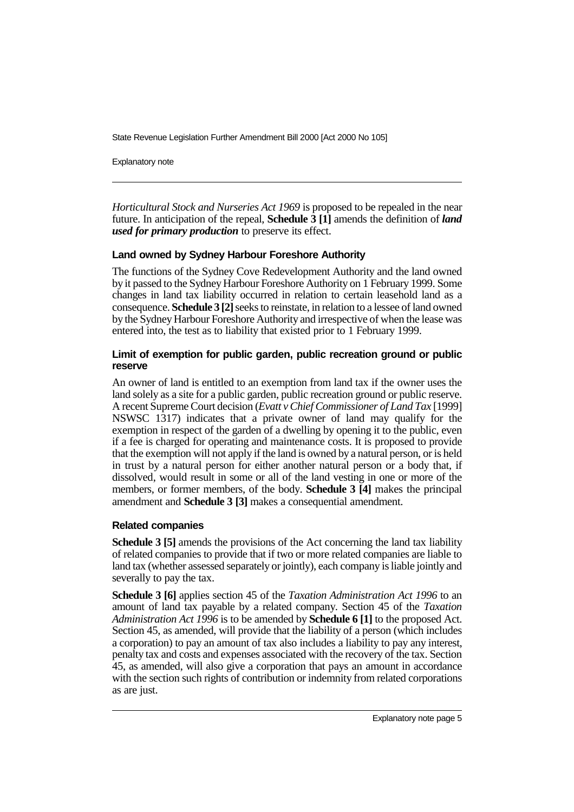Explanatory note

*Horticultural Stock and Nurseries Act 1969* is proposed to be repealed in the near future. In anticipation of the repeal, **Schedule 3 [1]** amends the definition of *land used for primary production* to preserve its effect.

# **Land owned by Sydney Harbour Foreshore Authority**

The functions of the Sydney Cove Redevelopment Authority and the land owned by it passed to the Sydney Harbour Foreshore Authority on 1 February 1999. Some changes in land tax liability occurred in relation to certain leasehold land as a consequence. **Schedule 3 [2]** seeks to reinstate, in relation to a lessee of land owned by the Sydney Harbour Foreshore Authority and irrespective of when the lease was entered into, the test as to liability that existed prior to 1 February 1999.

# **Limit of exemption for public garden, public recreation ground or public reserve**

An owner of land is entitled to an exemption from land tax if the owner uses the land solely as a site for a public garden, public recreation ground or public reserve. A recent Supreme Court decision (*Evatt v Chief Commissioner of Land Tax* [1999] NSWSC 1317) indicates that a private owner of land may qualify for the exemption in respect of the garden of a dwelling by opening it to the public, even if a fee is charged for operating and maintenance costs. It is proposed to provide that the exemption will not apply if the land is owned by a natural person, or is held in trust by a natural person for either another natural person or a body that, if dissolved, would result in some or all of the land vesting in one or more of the members, or former members, of the body. **Schedule 3 [4]** makes the principal amendment and **Schedule 3 [3]** makes a consequential amendment.

# **Related companies**

**Schedule 3 [5]** amends the provisions of the Act concerning the land tax liability of related companies to provide that if two or more related companies are liable to land tax (whether assessed separately or jointly), each company is liable jointly and severally to pay the tax.

**Schedule 3 [6]** applies section 45 of the *Taxation Administration Act 1996* to an amount of land tax payable by a related company. Section 45 of the *Taxation Administration Act 1996* is to be amended by **Schedule 6 [1]** to the proposed Act. Section 45, as amended, will provide that the liability of a person (which includes a corporation) to pay an amount of tax also includes a liability to pay any interest, penalty tax and costs and expenses associated with the recovery of the tax. Section 45, as amended, will also give a corporation that pays an amount in accordance with the section such rights of contribution or indemnity from related corporations as are just.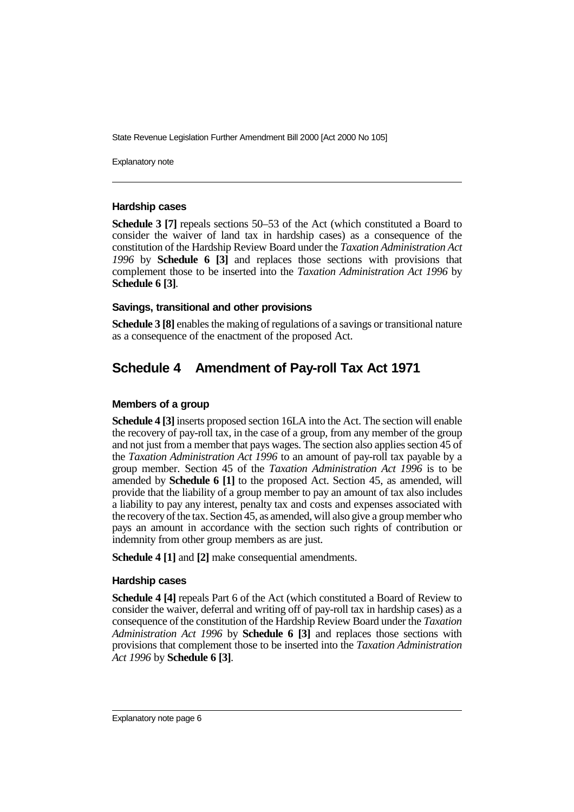Explanatory note

#### **Hardship cases**

**Schedule 3 [7]** repeals sections 50–53 of the Act (which constituted a Board to consider the waiver of land tax in hardship cases) as a consequence of the constitution of the Hardship Review Board under the *Taxation Administration Act 1996* by **Schedule 6 [3]** and replaces those sections with provisions that complement those to be inserted into the *Taxation Administration Act 1996* by **Schedule 6 [3]**.

# **Savings, transitional and other provisions**

**Schedule 3 [8]** enables the making of regulations of a savings or transitional nature as a consequence of the enactment of the proposed Act.

# **Schedule 4 Amendment of Pay-roll Tax Act 1971**

# **Members of a group**

**Schedule 4 [3]** inserts proposed section 16LA into the Act. The section will enable the recovery of pay-roll tax, in the case of a group, from any member of the group and not just from a member that pays wages. The section also applies section 45 of the *Taxation Administration Act 1996* to an amount of pay-roll tax payable by a group member. Section 45 of the *Taxation Administration Act 1996* is to be amended by **Schedule 6 [1]** to the proposed Act. Section 45, as amended, will provide that the liability of a group member to pay an amount of tax also includes a liability to pay any interest, penalty tax and costs and expenses associated with the recovery of the tax. Section 45, as amended, will also give a group member who pays an amount in accordance with the section such rights of contribution or indemnity from other group members as are just.

**Schedule 4 [1]** and **[2]** make consequential amendments.

## **Hardship cases**

**Schedule 4 [4]** repeals Part 6 of the Act (which constituted a Board of Review to consider the waiver, deferral and writing off of pay-roll tax in hardship cases) as a consequence of the constitution of the Hardship Review Board under the *Taxation Administration Act 1996* by **Schedule 6 [3]** and replaces those sections with provisions that complement those to be inserted into the *Taxation Administration Act 1996* by **Schedule 6 [3]**.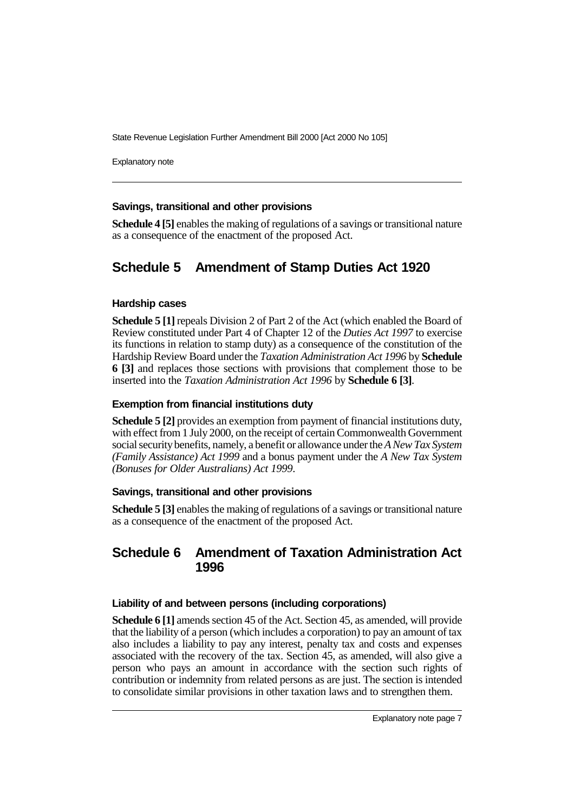Explanatory note

## **Savings, transitional and other provisions**

**Schedule 4 [5]** enables the making of regulations of a savings or transitional nature as a consequence of the enactment of the proposed Act.

# **Schedule 5 Amendment of Stamp Duties Act 1920**

#### **Hardship cases**

**Schedule 5 [1]** repeals Division 2 of Part 2 of the Act (which enabled the Board of Review constituted under Part 4 of Chapter 12 of the *Duties Act 1997* to exercise its functions in relation to stamp duty) as a consequence of the constitution of the Hardship Review Board under the *Taxation Administration Act 1996* by **Schedule 6 [3]** and replaces those sections with provisions that complement those to be inserted into the *Taxation Administration Act 1996* by **Schedule 6 [3]**.

### **Exemption from financial institutions duty**

**Schedule 5 [2]** provides an exemption from payment of financial institutions duty, with effect from 1 July 2000, on the receipt of certain Commonwealth Government social security benefits, namely, a benefit or allowance under the *A New Tax System (Family Assistance) Act 1999* and a bonus payment under the *A New Tax System (Bonuses for Older Australians) Act 1999*.

#### **Savings, transitional and other provisions**

**Schedule 5 [3]** enables the making of regulations of a savings or transitional nature as a consequence of the enactment of the proposed Act.

# **Schedule 6 Amendment of Taxation Administration Act 1996**

#### **Liability of and between persons (including corporations)**

**Schedule 6 [1]** amends section 45 of the Act. Section 45, as amended, will provide that the liability of a person (which includes a corporation) to pay an amount of tax also includes a liability to pay any interest, penalty tax and costs and expenses associated with the recovery of the tax. Section 45, as amended, will also give a person who pays an amount in accordance with the section such rights of contribution or indemnity from related persons as are just. The section is intended to consolidate similar provisions in other taxation laws and to strengthen them.